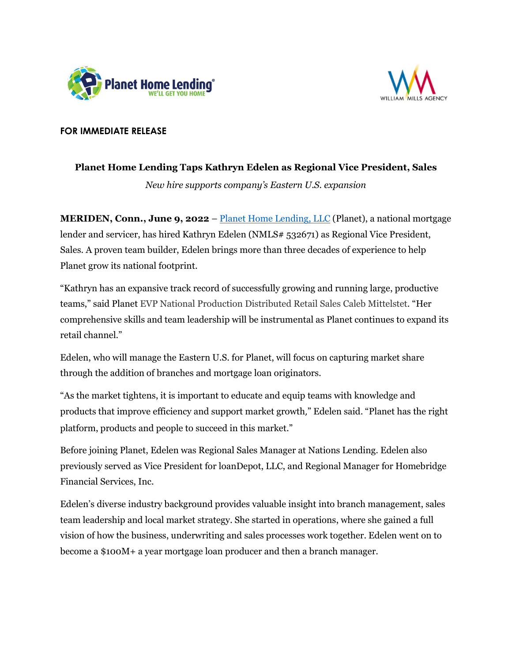



## **FOR IMMEDIATE RELEASE**

## **Planet Home Lending Taps Kathryn Edelen as Regional Vice President, Sales**

*New hire supports company's Eastern U.S. expansion*

**MERIDEN, Conn., June 9, 2022** – [Planet Home Lending, LLC](https://planethomelending.com/?utm_source=prn&utm_medium=pub&utm_campaign=Edelen) (Planet), a national mortgage lender and servicer, has hired Kathryn Edelen (NMLS# 532671) as Regional Vice President, Sales. A proven team builder, Edelen brings more than three decades of experience to help Planet grow its national footprint.

"Kathryn has an expansive track record of successfully growing and running large, productive teams," said Planet EVP National Production Distributed Retail Sales Caleb Mittelstet. "Her comprehensive skills and team leadership will be instrumental as Planet continues to expand its retail channel."

Edelen, who will manage the Eastern U.S. for Planet, will focus on capturing market share through the addition of branches and mortgage loan originators.

"As the market tightens, it is important to educate and equip teams with knowledge and products that improve efficiency and support market growth," Edelen said. "Planet has the right platform, products and people to succeed in this market."

Before joining Planet, Edelen was Regional Sales Manager at Nations Lending. Edelen also previously served as Vice President for loanDepot, LLC, and Regional Manager for Homebridge Financial Services, Inc.

Edelen's diverse industry background provides valuable insight into branch management, sales team leadership and local market strategy. She started in operations, where she gained a full vision of how the business, underwriting and sales processes work together. Edelen went on to become a \$100M+ a year mortgage loan producer and then a branch manager.